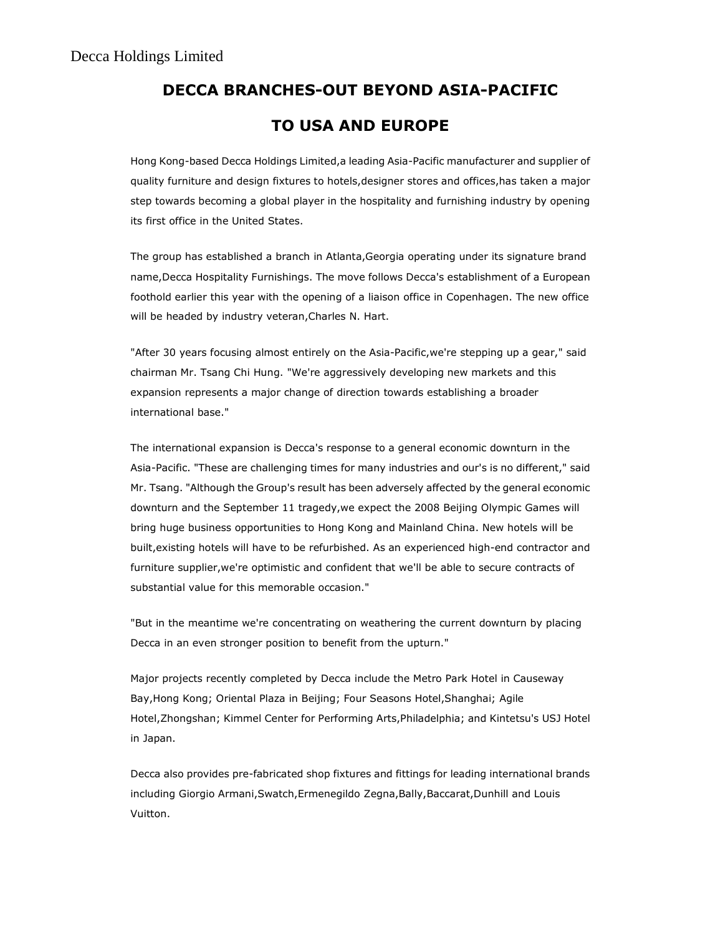## DECCA BRANCHES-OUT BEYOND ASIA-PACIFIC TO USA AND EUROPE

Hong Kong-based Decca Holdings Limited,a leading Asia-Pacific manufacturer and supplier of quality furniture and design fixtures to hotels,designer stores and offices,has taken a major step towards becoming a global player in the hospitality and furnishing industry by opening its first office in the United States.

The group has established a branch in Atlanta,Georgia operating under its signature brand name,Decca Hospitality Furnishings. The move follows Decca's establishment of a European foothold earlier this year with the opening of a liaison office in Copenhagen. The new office will be headed by industry veteran,Charles N. Hart.

"After 30 years focusing almost entirely on the Asia-Pacific,we're stepping up a gear," said chairman Mr. Tsang Chi Hung. "We're aggressively developing new markets and this expansion represents a major change of direction towards establishing a broader international base."

The international expansion is Decca's response to a general economic downturn in the Asia-Pacific. "These are challenging times for many industries and our's is no different," said Mr. Tsang. "Although the Group's result has been adversely affected by the general economic downturn and the September 11 tragedy,we expect the 2008 Beijing Olympic Games will bring huge business opportunities to Hong Kong and Mainland China. New hotels will be built,existing hotels will have to be refurbished. As an experienced high-end contractor and furniture supplier,we're optimistic and confident that we'll be able to secure contracts of substantial value for this memorable occasion."

"But in the meantime we're concentrating on weathering the current downturn by placing Decca in an even stronger position to benefit from the upturn."

Major projects recently completed by Decca include the Metro Park Hotel in Causeway Bay,Hong Kong; Oriental Plaza in Beijing; Four Seasons Hotel,Shanghai; Agile Hotel,Zhongshan; Kimmel Center for Performing Arts,Philadelphia; and Kintetsu's USJ Hotel in Japan.

Decca also provides pre-fabricated shop fixtures and fittings for leading international brands including Giorgio Armani,Swatch,Ermenegildo Zegna,Bally,Baccarat,Dunhill and Louis Vuitton.